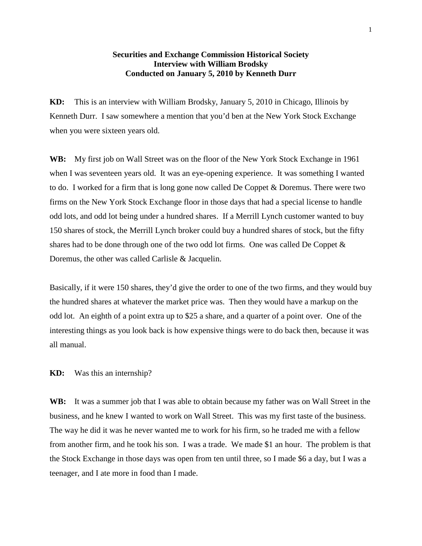## **Securities and Exchange Commission Historical Society Interview with William Brodsky Conducted on January 5, 2010 by Kenneth Durr**

**KD:** This is an interview with William Brodsky, January 5, 2010 in Chicago, Illinois by Kenneth Durr. I saw somewhere a mention that you'd ben at the New York Stock Exchange when you were sixteen years old.

**WB:** My first job on Wall Street was on the floor of the New York Stock Exchange in 1961 when I was seventeen years old. It was an eye-opening experience. It was something I wanted to do. I worked for a firm that is long gone now called De Coppet & Doremus. There were two firms on the New York Stock Exchange floor in those days that had a special license to handle odd lots, and odd lot being under a hundred shares. If a Merrill Lynch customer wanted to buy 150 shares of stock, the Merrill Lynch broker could buy a hundred shares of stock, but the fifty shares had to be done through one of the two odd lot firms. One was called De Coppet  $\&$ Doremus, the other was called Carlisle & Jacquelin.

Basically, if it were 150 shares, they'd give the order to one of the two firms, and they would buy the hundred shares at whatever the market price was. Then they would have a markup on the odd lot. An eighth of a point extra up to \$25 a share, and a quarter of a point over. One of the interesting things as you look back is how expensive things were to do back then, because it was all manual.

## **KD:** Was this an internship?

**WB:** It was a summer job that I was able to obtain because my father was on Wall Street in the business, and he knew I wanted to work on Wall Street. This was my first taste of the business. The way he did it was he never wanted me to work for his firm, so he traded me with a fellow from another firm, and he took his son. I was a trade. We made \$1 an hour. The problem is that the Stock Exchange in those days was open from ten until three, so I made \$6 a day, but I was a teenager, and I ate more in food than I made.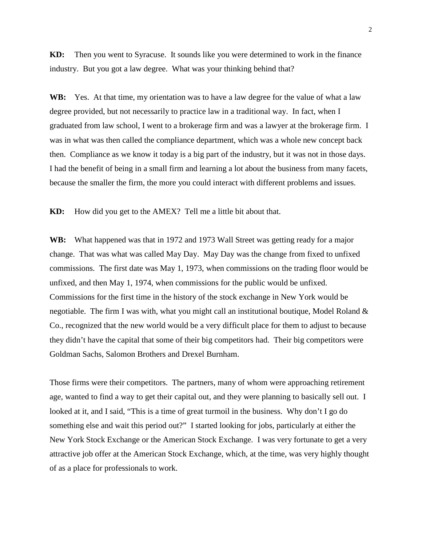**KD:** Then you went to Syracuse. It sounds like you were determined to work in the finance industry. But you got a law degree. What was your thinking behind that?

**WB:** Yes. At that time, my orientation was to have a law degree for the value of what a law degree provided, but not necessarily to practice law in a traditional way. In fact, when I graduated from law school, I went to a brokerage firm and was a lawyer at the brokerage firm. I was in what was then called the compliance department, which was a whole new concept back then. Compliance as we know it today is a big part of the industry, but it was not in those days. I had the benefit of being in a small firm and learning a lot about the business from many facets, because the smaller the firm, the more you could interact with different problems and issues.

**KD:** How did you get to the AMEX? Tell me a little bit about that.

**WB:** What happened was that in 1972 and 1973 Wall Street was getting ready for a major change. That was what was called May Day. May Day was the change from fixed to unfixed commissions. The first date was May 1, 1973, when commissions on the trading floor would be unfixed, and then May 1, 1974, when commissions for the public would be unfixed. Commissions for the first time in the history of the stock exchange in New York would be negotiable. The firm I was with, what you might call an institutional boutique, Model Roland & Co., recognized that the new world would be a very difficult place for them to adjust to because they didn't have the capital that some of their big competitors had. Their big competitors were Goldman Sachs, Salomon Brothers and Drexel Burnham.

Those firms were their competitors. The partners, many of whom were approaching retirement age, wanted to find a way to get their capital out, and they were planning to basically sell out. I looked at it, and I said, "This is a time of great turmoil in the business. Why don't I go do something else and wait this period out?" I started looking for jobs, particularly at either the New York Stock Exchange or the American Stock Exchange. I was very fortunate to get a very attractive job offer at the American Stock Exchange, which, at the time, was very highly thought of as a place for professionals to work.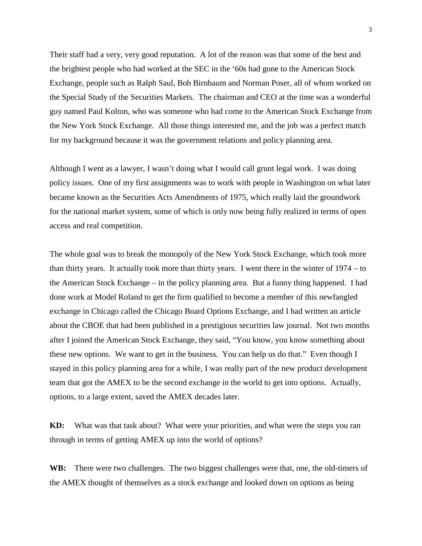Their staff had a very, very good reputation. A lot of the reason was that some of the best and the brightest people who had worked at the SEC in the '60s had gone to the American Stock Exchange, people such as Ralph Saul, Bob Birnbaum and Norman Poser, all of whom worked on the Special Study of the Securities Markets. The chairman and CEO at the time was a wonderful guy named Paul Kolton, who was someone who had come to the American Stock Exchange from the New York Stock Exchange. All those things interested me, and the job was a perfect match for my background because it was the government relations and policy planning area.

Although I went as a lawyer, I wasn't doing what I would call grunt legal work. I was doing policy issues. One of my first assignments was to work with people in Washington on what later became known as the Securities Acts Amendments of 1975, which really laid the groundwork for the national market system, some of which is only now being fully realized in terms of open access and real competition.

The whole goal was to break the monopoly of the New York Stock Exchange, which took more than thirty years. It actually took more than thirty years. I went there in the winter of 1974 – to the American Stock Exchange – in the policy planning area. But a funny thing happened. I had done work at Model Roland to get the firm qualified to become a member of this newfangled exchange in Chicago called the Chicago Board Options Exchange, and I had written an article about the CBOE that had been published in a prestigious securities law journal. Not two months after I joined the American Stock Exchange, they said, "You know, you know something about these new options. We want to get in the business. You can help us do that." Even though I stayed in this policy planning area for a while, I was really part of the new product development team that got the AMEX to be the second exchange in the world to get into options. Actually, options, to a large extent, saved the AMEX decades later.

**KD:** What was that task about? What were your priorities, and what were the steps you ran through in terms of getting AMEX up into the world of options?

WB: There were two challenges. The two biggest challenges were that, one, the old-timers of the AMEX thought of themselves as a stock exchange and looked down on options as being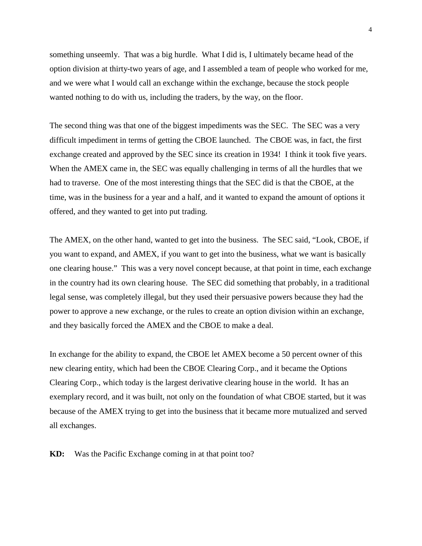something unseemly. That was a big hurdle. What I did is, I ultimately became head of the option division at thirty-two years of age, and I assembled a team of people who worked for me, and we were what I would call an exchange within the exchange, because the stock people wanted nothing to do with us, including the traders, by the way, on the floor.

The second thing was that one of the biggest impediments was the SEC. The SEC was a very difficult impediment in terms of getting the CBOE launched. The CBOE was, in fact, the first exchange created and approved by the SEC since its creation in 1934! I think it took five years. When the AMEX came in, the SEC was equally challenging in terms of all the hurdles that we had to traverse. One of the most interesting things that the SEC did is that the CBOE, at the time, was in the business for a year and a half, and it wanted to expand the amount of options it offered, and they wanted to get into put trading.

The AMEX, on the other hand, wanted to get into the business. The SEC said, "Look, CBOE, if you want to expand, and AMEX, if you want to get into the business, what we want is basically one clearing house." This was a very novel concept because, at that point in time, each exchange in the country had its own clearing house. The SEC did something that probably, in a traditional legal sense, was completely illegal, but they used their persuasive powers because they had the power to approve a new exchange, or the rules to create an option division within an exchange, and they basically forced the AMEX and the CBOE to make a deal.

In exchange for the ability to expand, the CBOE let AMEX become a 50 percent owner of this new clearing entity, which had been the CBOE Clearing Corp., and it became the Options Clearing Corp., which today is the largest derivative clearing house in the world. It has an exemplary record, and it was built, not only on the foundation of what CBOE started, but it was because of the AMEX trying to get into the business that it became more mutualized and served all exchanges.

**KD:** Was the Pacific Exchange coming in at that point too?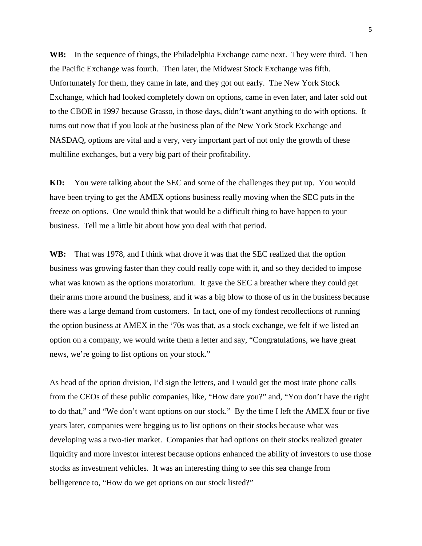**WB:** In the sequence of things, the Philadelphia Exchange came next. They were third. Then the Pacific Exchange was fourth. Then later, the Midwest Stock Exchange was fifth. Unfortunately for them, they came in late, and they got out early. The New York Stock Exchange, which had looked completely down on options, came in even later, and later sold out to the CBOE in 1997 because Grasso, in those days, didn't want anything to do with options. It turns out now that if you look at the business plan of the New York Stock Exchange and NASDAQ, options are vital and a very, very important part of not only the growth of these multiline exchanges, but a very big part of their profitability.

**KD:** You were talking about the SEC and some of the challenges they put up. You would have been trying to get the AMEX options business really moving when the SEC puts in the freeze on options. One would think that would be a difficult thing to have happen to your business. Tell me a little bit about how you deal with that period.

**WB:** That was 1978, and I think what drove it was that the SEC realized that the option business was growing faster than they could really cope with it, and so they decided to impose what was known as the options moratorium. It gave the SEC a breather where they could get their arms more around the business, and it was a big blow to those of us in the business because there was a large demand from customers. In fact, one of my fondest recollections of running the option business at AMEX in the '70s was that, as a stock exchange, we felt if we listed an option on a company, we would write them a letter and say, "Congratulations, we have great news, we're going to list options on your stock."

As head of the option division, I'd sign the letters, and I would get the most irate phone calls from the CEOs of these public companies, like, "How dare you?" and, "You don't have the right to do that," and "We don't want options on our stock." By the time I left the AMEX four or five years later, companies were begging us to list options on their stocks because what was developing was a two-tier market. Companies that had options on their stocks realized greater liquidity and more investor interest because options enhanced the ability of investors to use those stocks as investment vehicles. It was an interesting thing to see this sea change from belligerence to, "How do we get options on our stock listed?"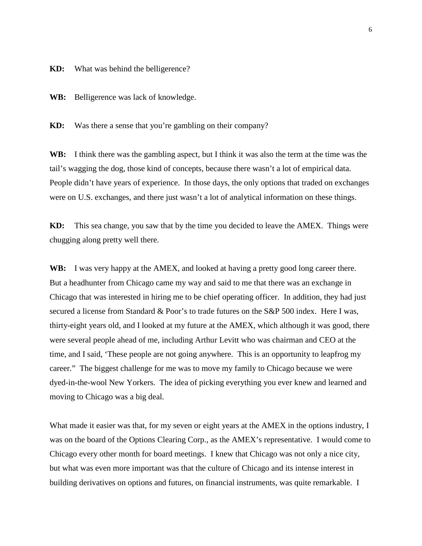**KD:** What was behind the belligerence?

**WB:** Belligerence was lack of knowledge.

**KD:** Was there a sense that you're gambling on their company?

**WB:** I think there was the gambling aspect, but I think it was also the term at the time was the tail's wagging the dog, those kind of concepts, because there wasn't a lot of empirical data. People didn't have years of experience. In those days, the only options that traded on exchanges were on U.S. exchanges, and there just wasn't a lot of analytical information on these things.

**KD:** This sea change, you saw that by the time you decided to leave the AMEX. Things were chugging along pretty well there.

**WB:** I was very happy at the AMEX, and looked at having a pretty good long career there. But a headhunter from Chicago came my way and said to me that there was an exchange in Chicago that was interested in hiring me to be chief operating officer. In addition, they had just secured a license from Standard & Poor's to trade futures on the S&P 500 index. Here I was, thirty-eight years old, and I looked at my future at the AMEX, which although it was good, there were several people ahead of me, including Arthur Levitt who was chairman and CEO at the time, and I said, 'These people are not going anywhere. This is an opportunity to leapfrog my career." The biggest challenge for me was to move my family to Chicago because we were dyed-in-the-wool New Yorkers. The idea of picking everything you ever knew and learned and moving to Chicago was a big deal.

What made it easier was that, for my seven or eight years at the AMEX in the options industry, I was on the board of the Options Clearing Corp., as the AMEX's representative. I would come to Chicago every other month for board meetings. I knew that Chicago was not only a nice city, but what was even more important was that the culture of Chicago and its intense interest in building derivatives on options and futures, on financial instruments, was quite remarkable. I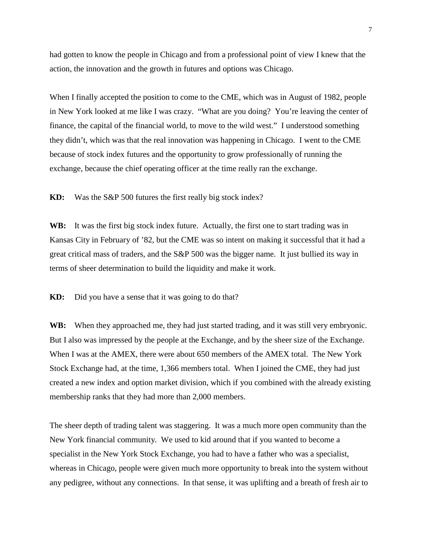had gotten to know the people in Chicago and from a professional point of view I knew that the action, the innovation and the growth in futures and options was Chicago.

When I finally accepted the position to come to the CME, which was in August of 1982, people in New York looked at me like I was crazy. "What are you doing? You're leaving the center of finance, the capital of the financial world, to move to the wild west." I understood something they didn't, which was that the real innovation was happening in Chicago. I went to the CME because of stock index futures and the opportunity to grow professionally of running the exchange, because the chief operating officer at the time really ran the exchange.

**KD:** Was the S&P 500 futures the first really big stock index?

**WB:** It was the first big stock index future. Actually, the first one to start trading was in Kansas City in February of '82, but the CME was so intent on making it successful that it had a great critical mass of traders, and the S&P 500 was the bigger name. It just bullied its way in terms of sheer determination to build the liquidity and make it work.

**KD:** Did you have a sense that it was going to do that?

WB: When they approached me, they had just started trading, and it was still very embryonic. But I also was impressed by the people at the Exchange, and by the sheer size of the Exchange. When I was at the AMEX, there were about 650 members of the AMEX total. The New York Stock Exchange had, at the time, 1,366 members total. When I joined the CME, they had just created a new index and option market division, which if you combined with the already existing membership ranks that they had more than 2,000 members.

The sheer depth of trading talent was staggering. It was a much more open community than the New York financial community. We used to kid around that if you wanted to become a specialist in the New York Stock Exchange, you had to have a father who was a specialist, whereas in Chicago, people were given much more opportunity to break into the system without any pedigree, without any connections. In that sense, it was uplifting and a breath of fresh air to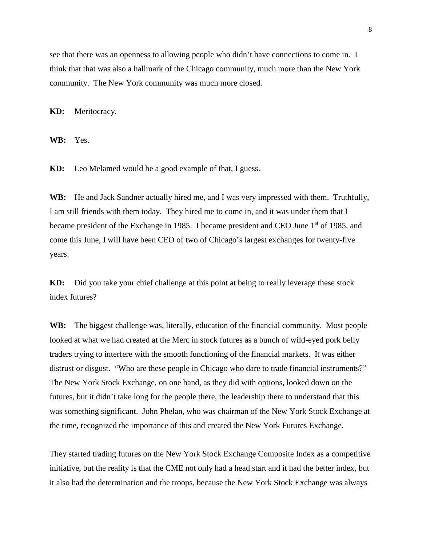see that there was an openness to allowing people who didn't have connections to come in. I think that that was also a hallmark of the Chicago community, much more than the New York community. The New York community was much more closed.

**KD:** Meritocracy.

**WB:** Yes.

**KD:** Leo Melamed would be a good example of that, I guess.

**WB:** He and Jack Sandner actually hired me, and I was very impressed with them. Truthfully, I am still friends with them today. They hired me to come in, and it was under them that I became president of the Exchange in 1985. I became president and CEO June  $1<sup>st</sup>$  of 1985, and come this June, I will have been CEO of two of Chicago's largest exchanges for twenty-five years.

**KD:** Did you take your chief challenge at this point at being to really leverage these stock index futures?

**WB:** The biggest challenge was, literally, education of the financial community. Most people looked at what we had created at the Merc in stock futures as a bunch of wild-eyed pork belly traders trying to interfere with the smooth functioning of the financial markets. It was either distrust or disgust. "Who are these people in Chicago who dare to trade financial instruments?" The New York Stock Exchange, on one hand, as they did with options, looked down on the futures, but it didn't take long for the people there, the leadership there to understand that this was something significant. John Phelan, who was chairman of the New York Stock Exchange at the time, recognized the importance of this and created the New York Futures Exchange.

They started trading futures on the New York Stock Exchange Composite Index as a competitive initiative, but the reality is that the CME not only had a head start and it had the better index, but it also had the determination and the troops, because the New York Stock Exchange was always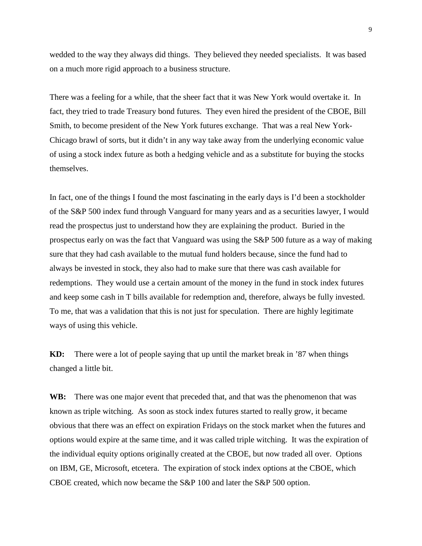wedded to the way they always did things. They believed they needed specialists. It was based on a much more rigid approach to a business structure.

There was a feeling for a while, that the sheer fact that it was New York would overtake it. In fact, they tried to trade Treasury bond futures. They even hired the president of the CBOE, Bill Smith, to become president of the New York futures exchange. That was a real New York-Chicago brawl of sorts, but it didn't in any way take away from the underlying economic value of using a stock index future as both a hedging vehicle and as a substitute for buying the stocks themselves.

In fact, one of the things I found the most fascinating in the early days is I'd been a stockholder of the S&P 500 index fund through Vanguard for many years and as a securities lawyer, I would read the prospectus just to understand how they are explaining the product. Buried in the prospectus early on was the fact that Vanguard was using the S&P 500 future as a way of making sure that they had cash available to the mutual fund holders because, since the fund had to always be invested in stock, they also had to make sure that there was cash available for redemptions. They would use a certain amount of the money in the fund in stock index futures and keep some cash in T bills available for redemption and, therefore, always be fully invested. To me, that was a validation that this is not just for speculation. There are highly legitimate ways of using this vehicle.

**KD:** There were a lot of people saying that up until the market break in '87 when things changed a little bit.

**WB:** There was one major event that preceded that, and that was the phenomenon that was known as triple witching. As soon as stock index futures started to really grow, it became obvious that there was an effect on expiration Fridays on the stock market when the futures and options would expire at the same time, and it was called triple witching. It was the expiration of the individual equity options originally created at the CBOE, but now traded all over. Options on IBM, GE, Microsoft, etcetera. The expiration of stock index options at the CBOE, which CBOE created, which now became the S&P 100 and later the S&P 500 option.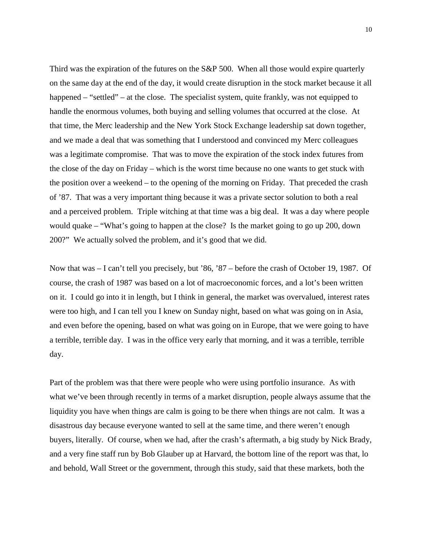Third was the expiration of the futures on the S&P 500. When all those would expire quarterly on the same day at the end of the day, it would create disruption in the stock market because it all happened – "settled" – at the close. The specialist system, quite frankly, was not equipped to handle the enormous volumes, both buying and selling volumes that occurred at the close. At that time, the Merc leadership and the New York Stock Exchange leadership sat down together, and we made a deal that was something that I understood and convinced my Merc colleagues was a legitimate compromise. That was to move the expiration of the stock index futures from the close of the day on Friday – which is the worst time because no one wants to get stuck with the position over a weekend – to the opening of the morning on Friday. That preceded the crash of '87. That was a very important thing because it was a private sector solution to both a real and a perceived problem. Triple witching at that time was a big deal. It was a day where people would quake – "What's going to happen at the close? Is the market going to go up 200, down 200?" We actually solved the problem, and it's good that we did.

Now that was – I can't tell you precisely, but '86, '87 – before the crash of October 19, 1987. Of course, the crash of 1987 was based on a lot of macroeconomic forces, and a lot's been written on it. I could go into it in length, but I think in general, the market was overvalued, interest rates were too high, and I can tell you I knew on Sunday night, based on what was going on in Asia, and even before the opening, based on what was going on in Europe, that we were going to have a terrible, terrible day. I was in the office very early that morning, and it was a terrible, terrible day.

Part of the problem was that there were people who were using portfolio insurance. As with what we've been through recently in terms of a market disruption, people always assume that the liquidity you have when things are calm is going to be there when things are not calm. It was a disastrous day because everyone wanted to sell at the same time, and there weren't enough buyers, literally. Of course, when we had, after the crash's aftermath, a big study by Nick Brady, and a very fine staff run by Bob Glauber up at Harvard, the bottom line of the report was that, lo and behold, Wall Street or the government, through this study, said that these markets, both the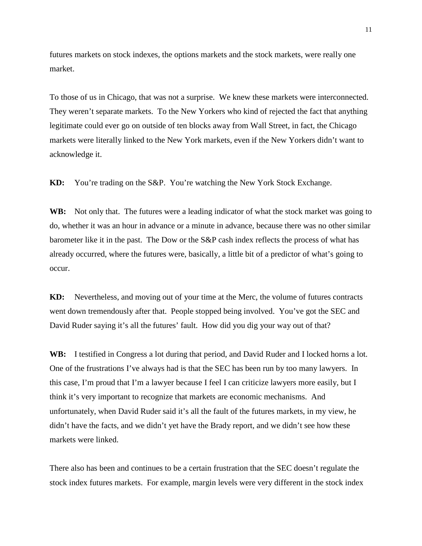futures markets on stock indexes, the options markets and the stock markets, were really one market.

To those of us in Chicago, that was not a surprise. We knew these markets were interconnected. They weren't separate markets. To the New Yorkers who kind of rejected the fact that anything legitimate could ever go on outside of ten blocks away from Wall Street, in fact, the Chicago markets were literally linked to the New York markets, even if the New Yorkers didn't want to acknowledge it.

**KD:** You're trading on the S&P. You're watching the New York Stock Exchange.

**WB:** Not only that. The futures were a leading indicator of what the stock market was going to do, whether it was an hour in advance or a minute in advance, because there was no other similar barometer like it in the past. The Dow or the S&P cash index reflects the process of what has already occurred, where the futures were, basically, a little bit of a predictor of what's going to occur.

**KD:** Nevertheless, and moving out of your time at the Merc, the volume of futures contracts went down tremendously after that. People stopped being involved. You've got the SEC and David Ruder saying it's all the futures' fault. How did you dig your way out of that?

**WB:** I testified in Congress a lot during that period, and David Ruder and I locked horns a lot. One of the frustrations I've always had is that the SEC has been run by too many lawyers. In this case, I'm proud that I'm a lawyer because I feel I can criticize lawyers more easily, but I think it's very important to recognize that markets are economic mechanisms. And unfortunately, when David Ruder said it's all the fault of the futures markets, in my view, he didn't have the facts, and we didn't yet have the Brady report, and we didn't see how these markets were linked.

There also has been and continues to be a certain frustration that the SEC doesn't regulate the stock index futures markets. For example, margin levels were very different in the stock index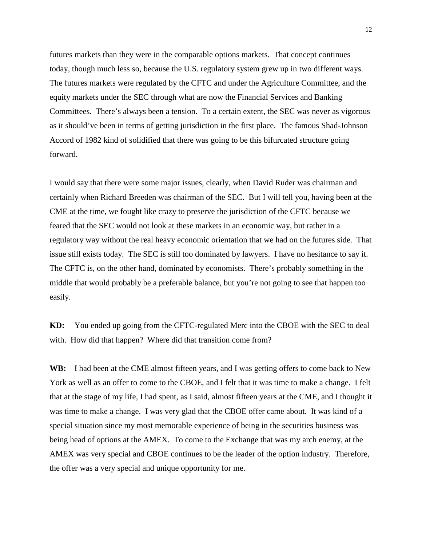futures markets than they were in the comparable options markets. That concept continues today, though much less so, because the U.S. regulatory system grew up in two different ways. The futures markets were regulated by the CFTC and under the Agriculture Committee, and the equity markets under the SEC through what are now the Financial Services and Banking Committees. There's always been a tension. To a certain extent, the SEC was never as vigorous as it should've been in terms of getting jurisdiction in the first place. The famous Shad-Johnson Accord of 1982 kind of solidified that there was going to be this bifurcated structure going forward.

I would say that there were some major issues, clearly, when David Ruder was chairman and certainly when Richard Breeden was chairman of the SEC. But I will tell you, having been at the CME at the time, we fought like crazy to preserve the jurisdiction of the CFTC because we feared that the SEC would not look at these markets in an economic way, but rather in a regulatory way without the real heavy economic orientation that we had on the futures side. That issue still exists today. The SEC is still too dominated by lawyers. I have no hesitance to say it. The CFTC is, on the other hand, dominated by economists. There's probably something in the middle that would probably be a preferable balance, but you're not going to see that happen too easily.

**KD:** You ended up going from the CFTC-regulated Merc into the CBOE with the SEC to deal with. How did that happen? Where did that transition come from?

**WB:** I had been at the CME almost fifteen years, and I was getting offers to come back to New York as well as an offer to come to the CBOE, and I felt that it was time to make a change. I felt that at the stage of my life, I had spent, as I said, almost fifteen years at the CME, and I thought it was time to make a change. I was very glad that the CBOE offer came about. It was kind of a special situation since my most memorable experience of being in the securities business was being head of options at the AMEX. To come to the Exchange that was my arch enemy, at the AMEX was very special and CBOE continues to be the leader of the option industry. Therefore, the offer was a very special and unique opportunity for me.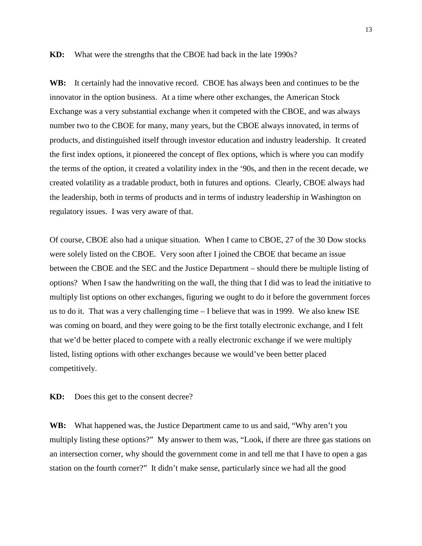## **KD:** What were the strengths that the CBOE had back in the late 1990s?

**WB:** It certainly had the innovative record. CBOE has always been and continues to be the innovator in the option business. At a time where other exchanges, the American Stock Exchange was a very substantial exchange when it competed with the CBOE, and was always number two to the CBOE for many, many years, but the CBOE always innovated, in terms of products, and distinguished itself through investor education and industry leadership. It created the first index options, it pioneered the concept of flex options, which is where you can modify the terms of the option, it created a volatility index in the '90s, and then in the recent decade, we created volatility as a tradable product, both in futures and options. Clearly, CBOE always had the leadership, both in terms of products and in terms of industry leadership in Washington on regulatory issues. I was very aware of that.

Of course, CBOE also had a unique situation. When I came to CBOE, 27 of the 30 Dow stocks were solely listed on the CBOE. Very soon after I joined the CBOE that became an issue between the CBOE and the SEC and the Justice Department – should there be multiple listing of options? When I saw the handwriting on the wall, the thing that I did was to lead the initiative to multiply list options on other exchanges, figuring we ought to do it before the government forces us to do it. That was a very challenging time – I believe that was in 1999. We also knew ISE was coming on board, and they were going to be the first totally electronic exchange, and I felt that we'd be better placed to compete with a really electronic exchange if we were multiply listed, listing options with other exchanges because we would've been better placed competitively.

**KD:** Does this get to the consent decree?

**WB:** What happened was, the Justice Department came to us and said, "Why aren't you multiply listing these options?" My answer to them was, "Look, if there are three gas stations on an intersection corner, why should the government come in and tell me that I have to open a gas station on the fourth corner?" It didn't make sense, particularly since we had all the good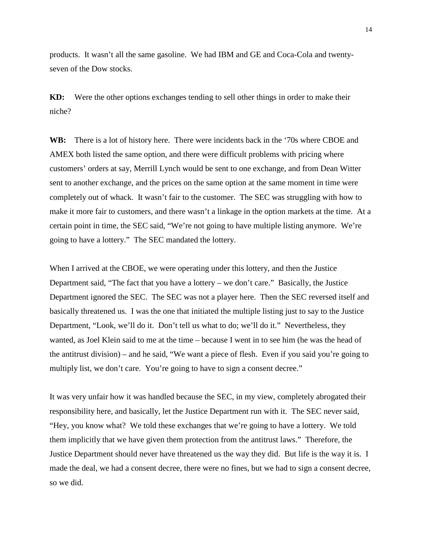products. It wasn't all the same gasoline. We had IBM and GE and Coca-Cola and twentyseven of the Dow stocks.

**KD:** Were the other options exchanges tending to sell other things in order to make their niche?

**WB:** There is a lot of history here. There were incidents back in the '70s where CBOE and AMEX both listed the same option, and there were difficult problems with pricing where customers' orders at say, Merrill Lynch would be sent to one exchange, and from Dean Witter sent to another exchange, and the prices on the same option at the same moment in time were completely out of whack. It wasn't fair to the customer. The SEC was struggling with how to make it more fair to customers, and there wasn't a linkage in the option markets at the time. At a certain point in time, the SEC said, "We're not going to have multiple listing anymore. We're going to have a lottery." The SEC mandated the lottery.

When I arrived at the CBOE, we were operating under this lottery, and then the Justice Department said, "The fact that you have a lottery – we don't care." Basically, the Justice Department ignored the SEC. The SEC was not a player here. Then the SEC reversed itself and basically threatened us. I was the one that initiated the multiple listing just to say to the Justice Department, "Look, we'll do it. Don't tell us what to do; we'll do it." Nevertheless, they wanted, as Joel Klein said to me at the time – because I went in to see him (he was the head of the antitrust division) – and he said, "We want a piece of flesh. Even if you said you're going to multiply list, we don't care. You're going to have to sign a consent decree."

It was very unfair how it was handled because the SEC, in my view, completely abrogated their responsibility here, and basically, let the Justice Department run with it. The SEC never said, "Hey, you know what? We told these exchanges that we're going to have a lottery. We told them implicitly that we have given them protection from the antitrust laws." Therefore, the Justice Department should never have threatened us the way they did. But life is the way it is. I made the deal, we had a consent decree, there were no fines, but we had to sign a consent decree, so we did.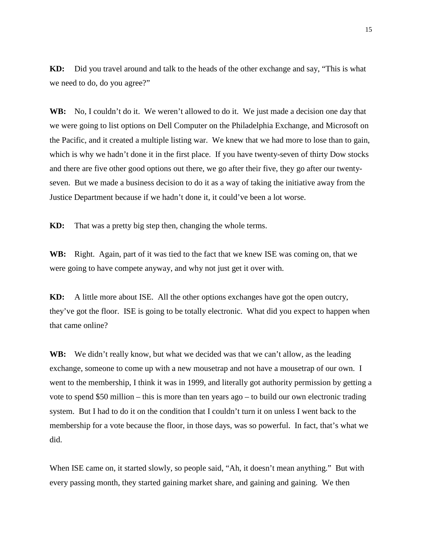**KD:** Did you travel around and talk to the heads of the other exchange and say, "This is what we need to do, do you agree?"

**WB:** No, I couldn't do it. We weren't allowed to do it. We just made a decision one day that we were going to list options on Dell Computer on the Philadelphia Exchange, and Microsoft on the Pacific, and it created a multiple listing war. We knew that we had more to lose than to gain, which is why we hadn't done it in the first place. If you have twenty-seven of thirty Dow stocks and there are five other good options out there, we go after their five, they go after our twentyseven. But we made a business decision to do it as a way of taking the initiative away from the Justice Department because if we hadn't done it, it could've been a lot worse.

**KD:** That was a pretty big step then, changing the whole terms.

**WB:** Right. Again, part of it was tied to the fact that we knew ISE was coming on, that we were going to have compete anyway, and why not just get it over with.

**KD:** A little more about ISE. All the other options exchanges have got the open outcry, they've got the floor. ISE is going to be totally electronic. What did you expect to happen when that came online?

WB: We didn't really know, but what we decided was that we can't allow, as the leading exchange, someone to come up with a new mousetrap and not have a mousetrap of our own. I went to the membership, I think it was in 1999, and literally got authority permission by getting a vote to spend \$50 million – this is more than ten years ago – to build our own electronic trading system. But I had to do it on the condition that I couldn't turn it on unless I went back to the membership for a vote because the floor, in those days, was so powerful. In fact, that's what we did.

When ISE came on, it started slowly, so people said, "Ah, it doesn't mean anything." But with every passing month, they started gaining market share, and gaining and gaining. We then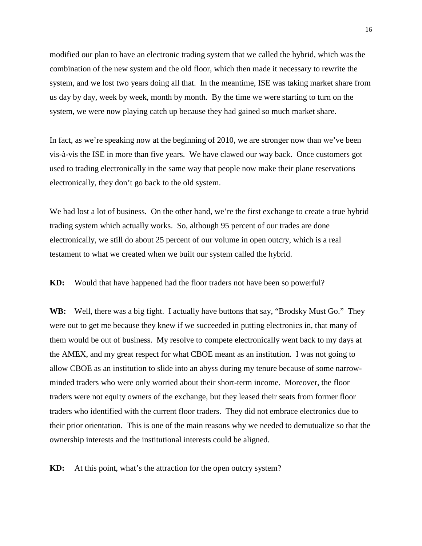modified our plan to have an electronic trading system that we called the hybrid, which was the combination of the new system and the old floor, which then made it necessary to rewrite the system, and we lost two years doing all that. In the meantime, ISE was taking market share from us day by day, week by week, month by month. By the time we were starting to turn on the system, we were now playing catch up because they had gained so much market share.

In fact, as we're speaking now at the beginning of 2010, we are stronger now than we've been vis-à-vis the ISE in more than five years. We have clawed our way back. Once customers got used to trading electronically in the same way that people now make their plane reservations electronically, they don't go back to the old system.

We had lost a lot of business. On the other hand, we're the first exchange to create a true hybrid trading system which actually works. So, although 95 percent of our trades are done electronically, we still do about 25 percent of our volume in open outcry, which is a real testament to what we created when we built our system called the hybrid.

**KD:** Would that have happened had the floor traders not have been so powerful?

**WB:** Well, there was a big fight. I actually have buttons that say, "Brodsky Must Go." They were out to get me because they knew if we succeeded in putting electronics in, that many of them would be out of business. My resolve to compete electronically went back to my days at the AMEX, and my great respect for what CBOE meant as an institution. I was not going to allow CBOE as an institution to slide into an abyss during my tenure because of some narrowminded traders who were only worried about their short-term income. Moreover, the floor traders were not equity owners of the exchange, but they leased their seats from former floor traders who identified with the current floor traders. They did not embrace electronics due to their prior orientation. This is one of the main reasons why we needed to demutualize so that the ownership interests and the institutional interests could be aligned.

**KD:** At this point, what's the attraction for the open outcry system?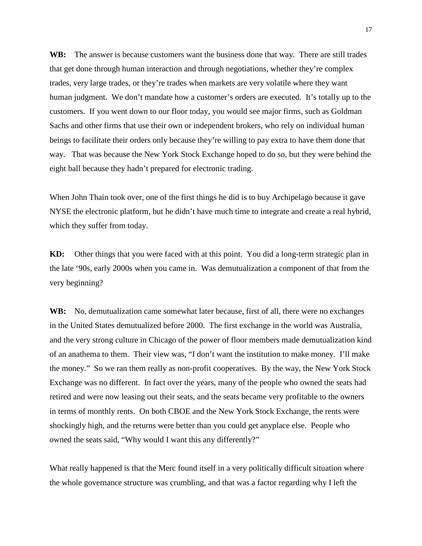WB: The answer is because customers want the business done that way. There are still trades that get done through human interaction and through negotiations, whether they're complex trades, very large trades, or they're trades when markets are very volatile where they want human judgment. We don't mandate how a customer's orders are executed. It's totally up to the customers. If you went down to our floor today, you would see major firms, such as Goldman Sachs and other firms that use their own or independent brokers, who rely on individual human beings to facilitate their orders only because they're willing to pay extra to have them done that way. That was because the New York Stock Exchange hoped to do so, but they were behind the eight ball because they hadn't prepared for electronic trading.

When John Thain took over, one of the first things he did is to buy Archipelago because it gave NYSE the electronic platform, but he didn't have much time to integrate and create a real hybrid, which they suffer from today.

**KD:** Other things that you were faced with at this point. You did a long-term strategic plan in the late '90s, early 2000s when you came in. Was demutualization a component of that from the very beginning?

**WB:** No, demutualization came somewhat later because, first of all, there were no exchanges in the United States demutualized before 2000. The first exchange in the world was Australia, and the very strong culture in Chicago of the power of floor members made demutualization kind of an anathema to them. Their view was, "I don't want the institution to make money. I'll make the money." So we ran them really as non-profit cooperatives. By the way, the New York Stock Exchange was no different. In fact over the years, many of the people who owned the seats had retired and were now leasing out their seats, and the seats became very profitable to the owners in terms of monthly rents. On both CBOE and the New York Stock Exchange, the rents were shockingly high, and the returns were better than you could get anyplace else. People who owned the seats said, "Why would I want this any differently?"

What really happened is that the Merc found itself in a very politically difficult situation where the whole governance structure was crumbling, and that was a factor regarding why I left the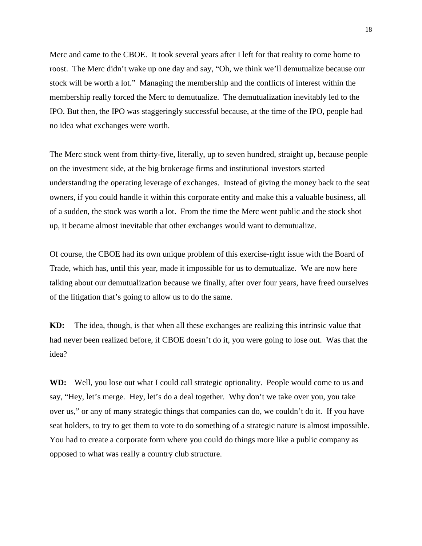Merc and came to the CBOE. It took several years after I left for that reality to come home to roost. The Merc didn't wake up one day and say, "Oh, we think we'll demutualize because our stock will be worth a lot." Managing the membership and the conflicts of interest within the membership really forced the Merc to demutualize. The demutualization inevitably led to the IPO. But then, the IPO was staggeringly successful because, at the time of the IPO, people had no idea what exchanges were worth.

The Merc stock went from thirty-five, literally, up to seven hundred, straight up, because people on the investment side, at the big brokerage firms and institutional investors started understanding the operating leverage of exchanges. Instead of giving the money back to the seat owners, if you could handle it within this corporate entity and make this a valuable business, all of a sudden, the stock was worth a lot. From the time the Merc went public and the stock shot up, it became almost inevitable that other exchanges would want to demutualize.

Of course, the CBOE had its own unique problem of this exercise-right issue with the Board of Trade, which has, until this year, made it impossible for us to demutualize. We are now here talking about our demutualization because we finally, after over four years, have freed ourselves of the litigation that's going to allow us to do the same.

**KD:** The idea, though, is that when all these exchanges are realizing this intrinsic value that had never been realized before, if CBOE doesn't do it, you were going to lose out. Was that the idea?

**WD:** Well, you lose out what I could call strategic optionality. People would come to us and say, "Hey, let's merge. Hey, let's do a deal together. Why don't we take over you, you take over us," or any of many strategic things that companies can do, we couldn't do it. If you have seat holders, to try to get them to vote to do something of a strategic nature is almost impossible. You had to create a corporate form where you could do things more like a public company as opposed to what was really a country club structure.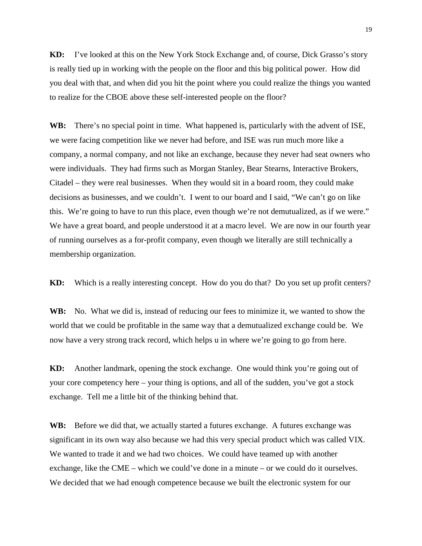**KD:** I've looked at this on the New York Stock Exchange and, of course, Dick Grasso's story is really tied up in working with the people on the floor and this big political power. How did you deal with that, and when did you hit the point where you could realize the things you wanted to realize for the CBOE above these self-interested people on the floor?

**WB:** There's no special point in time. What happened is, particularly with the advent of ISE, we were facing competition like we never had before, and ISE was run much more like a company, a normal company, and not like an exchange, because they never had seat owners who were individuals. They had firms such as Morgan Stanley, Bear Stearns, Interactive Brokers, Citadel – they were real businesses. When they would sit in a board room, they could make decisions as businesses, and we couldn't. I went to our board and I said, "We can't go on like this. We're going to have to run this place, even though we're not demutualized, as if we were." We have a great board, and people understood it at a macro level. We are now in our fourth year of running ourselves as a for-profit company, even though we literally are still technically a membership organization.

**KD:** Which is a really interesting concept. How do you do that? Do you set up profit centers?

**WB:** No. What we did is, instead of reducing our fees to minimize it, we wanted to show the world that we could be profitable in the same way that a demutualized exchange could be. We now have a very strong track record, which helps u in where we're going to go from here.

**KD:** Another landmark, opening the stock exchange. One would think you're going out of your core competency here – your thing is options, and all of the sudden, you've got a stock exchange. Tell me a little bit of the thinking behind that.

**WB:** Before we did that, we actually started a futures exchange. A futures exchange was significant in its own way also because we had this very special product which was called VIX. We wanted to trade it and we had two choices. We could have teamed up with another exchange, like the CME – which we could've done in a minute – or we could do it ourselves. We decided that we had enough competence because we built the electronic system for our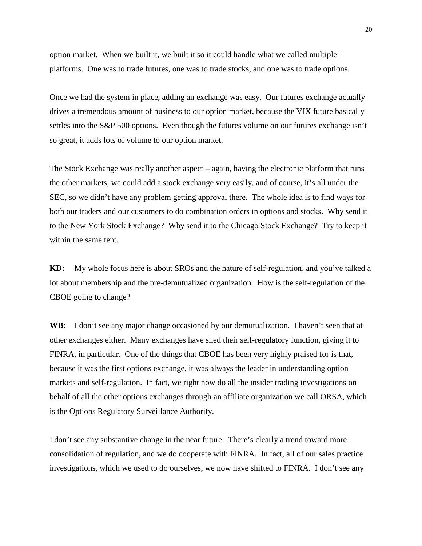option market. When we built it, we built it so it could handle what we called multiple platforms. One was to trade futures, one was to trade stocks, and one was to trade options.

Once we had the system in place, adding an exchange was easy. Our futures exchange actually drives a tremendous amount of business to our option market, because the VIX future basically settles into the S&P 500 options. Even though the futures volume on our futures exchange isn't so great, it adds lots of volume to our option market.

The Stock Exchange was really another aspect – again, having the electronic platform that runs the other markets, we could add a stock exchange very easily, and of course, it's all under the SEC, so we didn't have any problem getting approval there. The whole idea is to find ways for both our traders and our customers to do combination orders in options and stocks. Why send it to the New York Stock Exchange? Why send it to the Chicago Stock Exchange? Try to keep it within the same tent.

**KD:** My whole focus here is about SROs and the nature of self-regulation, and you've talked a lot about membership and the pre-demutualized organization. How is the self-regulation of the CBOE going to change?

WB: I don't see any major change occasioned by our demutualization. I haven't seen that at other exchanges either. Many exchanges have shed their self-regulatory function, giving it to FINRA, in particular. One of the things that CBOE has been very highly praised for is that, because it was the first options exchange, it was always the leader in understanding option markets and self-regulation. In fact, we right now do all the insider trading investigations on behalf of all the other options exchanges through an affiliate organization we call ORSA, which is the Options Regulatory Surveillance Authority.

I don't see any substantive change in the near future. There's clearly a trend toward more consolidation of regulation, and we do cooperate with FINRA. In fact, all of our sales practice investigations, which we used to do ourselves, we now have shifted to FINRA. I don't see any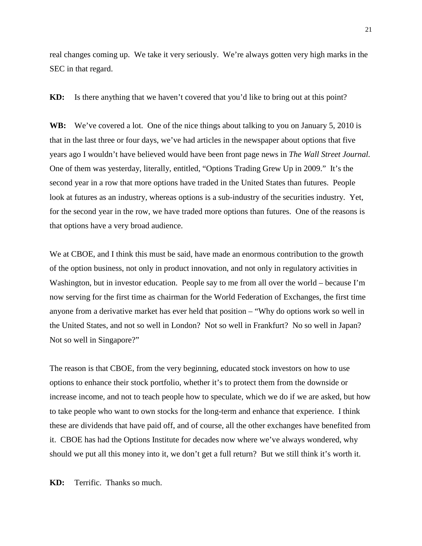real changes coming up. We take it very seriously. We're always gotten very high marks in the SEC in that regard.

**KD:** Is there anything that we haven't covered that you'd like to bring out at this point?

WB: We've covered a lot. One of the nice things about talking to you on January 5, 2010 is that in the last three or four days, we've had articles in the newspaper about options that five years ago I wouldn't have believed would have been front page news in *The Wall Street Journal.*  One of them was yesterday, literally, entitled, "Options Trading Grew Up in 2009." It's the second year in a row that more options have traded in the United States than futures. People look at futures as an industry, whereas options is a sub-industry of the securities industry. Yet, for the second year in the row, we have traded more options than futures. One of the reasons is that options have a very broad audience.

We at CBOE, and I think this must be said, have made an enormous contribution to the growth of the option business, not only in product innovation, and not only in regulatory activities in Washington, but in investor education. People say to me from all over the world – because I'm now serving for the first time as chairman for the World Federation of Exchanges, the first time anyone from a derivative market has ever held that position – "Why do options work so well in the United States, and not so well in London? Not so well in Frankfurt? No so well in Japan? Not so well in Singapore?"

The reason is that CBOE, from the very beginning, educated stock investors on how to use options to enhance their stock portfolio, whether it's to protect them from the downside or increase income, and not to teach people how to speculate, which we do if we are asked, but how to take people who want to own stocks for the long-term and enhance that experience. I think these are dividends that have paid off, and of course, all the other exchanges have benefited from it. CBOE has had the Options Institute for decades now where we've always wondered, why should we put all this money into it, we don't get a full return? But we still think it's worth it.

**KD:** Terrific. Thanks so much.